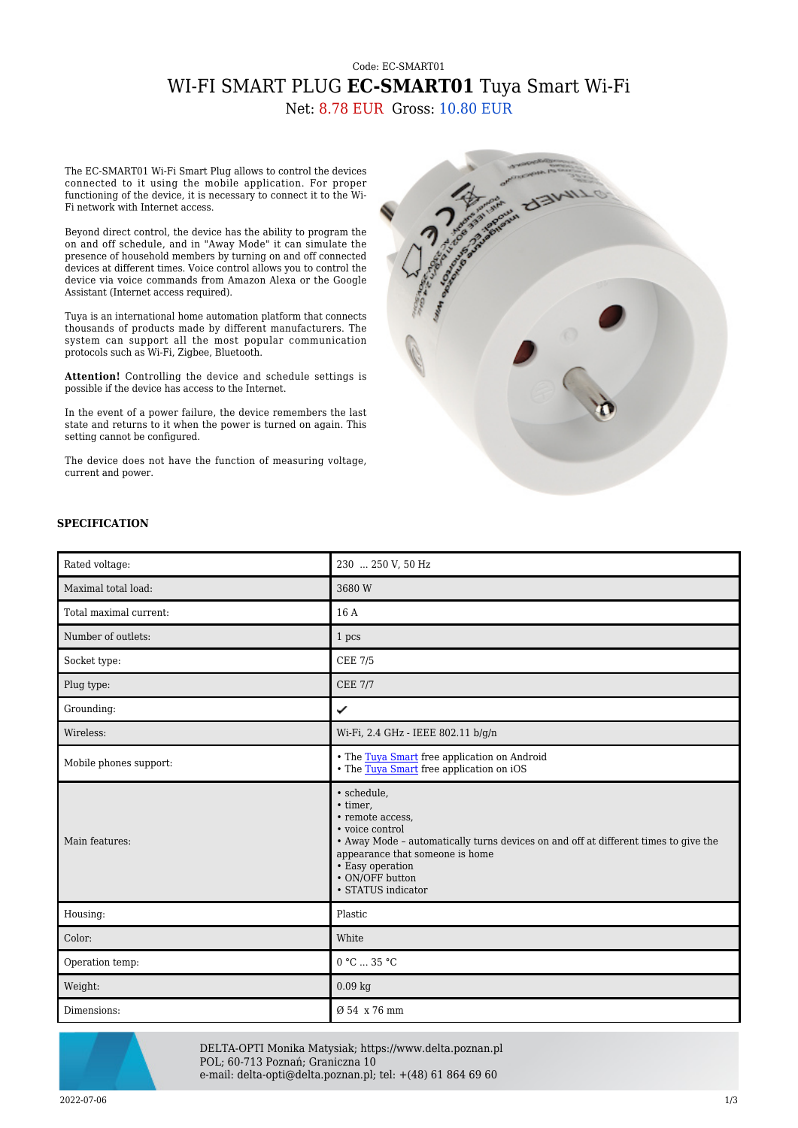## Code: EC-SMART01 WI-FI SMART PLUG **EC-SMART01** Tuya Smart Wi-Fi Net: 8.78 EUR Gross: 10.80 EUR

The EC-SMART01 Wi-Fi Smart Plug allows to control the devices connected to it using the mobile application. For proper functioning of the device, it is necessary to connect it to the Wi-Fi network with Internet access.

Beyond direct control, the device has the ability to program the on and off schedule, and in "Away Mode" it can simulate the presence of household members by turning on and off connected devices at different times. Voice control allows you to control the device via voice commands from Amazon Alexa or the Google Assistant (Internet access required).

Tuya is an international home automation platform that connects thousands of products made by different manufacturers. The system can support all the most popular communication protocols such as Wi-Fi, Zigbee, Bluetooth.

**Attention!** Controlling the device and schedule settings is possible if the device has access to the Internet.

In the event of a power failure, the device remembers the last state and returns to it when the power is turned on again. This setting cannot be configured.

The device does not have the function of measuring voltage, current and power.



## **SPECIFICATION**

| Rated voltage:         | 230  250 V, 50 Hz                                                                                                                                                                                                                                     |
|------------------------|-------------------------------------------------------------------------------------------------------------------------------------------------------------------------------------------------------------------------------------------------------|
| Maximal total load:    | 3680W                                                                                                                                                                                                                                                 |
| Total maximal current: | 16 A                                                                                                                                                                                                                                                  |
| Number of outlets:     | 1 pcs                                                                                                                                                                                                                                                 |
| Socket type:           | <b>CEE 7/5</b>                                                                                                                                                                                                                                        |
| Plug type:             | <b>CEE 7/7</b>                                                                                                                                                                                                                                        |
| Grounding:             | ✓                                                                                                                                                                                                                                                     |
| Wireless:              | Wi-Fi, 2.4 GHz - IEEE 802.11 b/g/n                                                                                                                                                                                                                    |
| Mobile phones support: | • The Tuya Smart free application on Android<br>• The Tuya Smart free application on iOS                                                                                                                                                              |
| Main features:         | · schedule,<br>• timer,<br>• remote access,<br>• voice control<br>• Away Mode - automatically turns devices on and off at different times to give the<br>appearance that someone is home<br>• Easy operation<br>• ON/OFF button<br>• STATUS indicator |
| Housing:               | Plastic                                                                                                                                                                                                                                               |
| Color:                 | White                                                                                                                                                                                                                                                 |
| Operation temp:        | 0 °C  35 °C                                                                                                                                                                                                                                           |
| Weight:                | $0.09$ kg                                                                                                                                                                                                                                             |
| Dimensions:            | Ø 54 x 76 mm                                                                                                                                                                                                                                          |



DELTA-OPTI Monika Matysiak; https://www.delta.poznan.pl POL; 60-713 Poznań; Graniczna 10 e-mail: delta-opti@delta.poznan.pl; tel: +(48) 61 864 69 60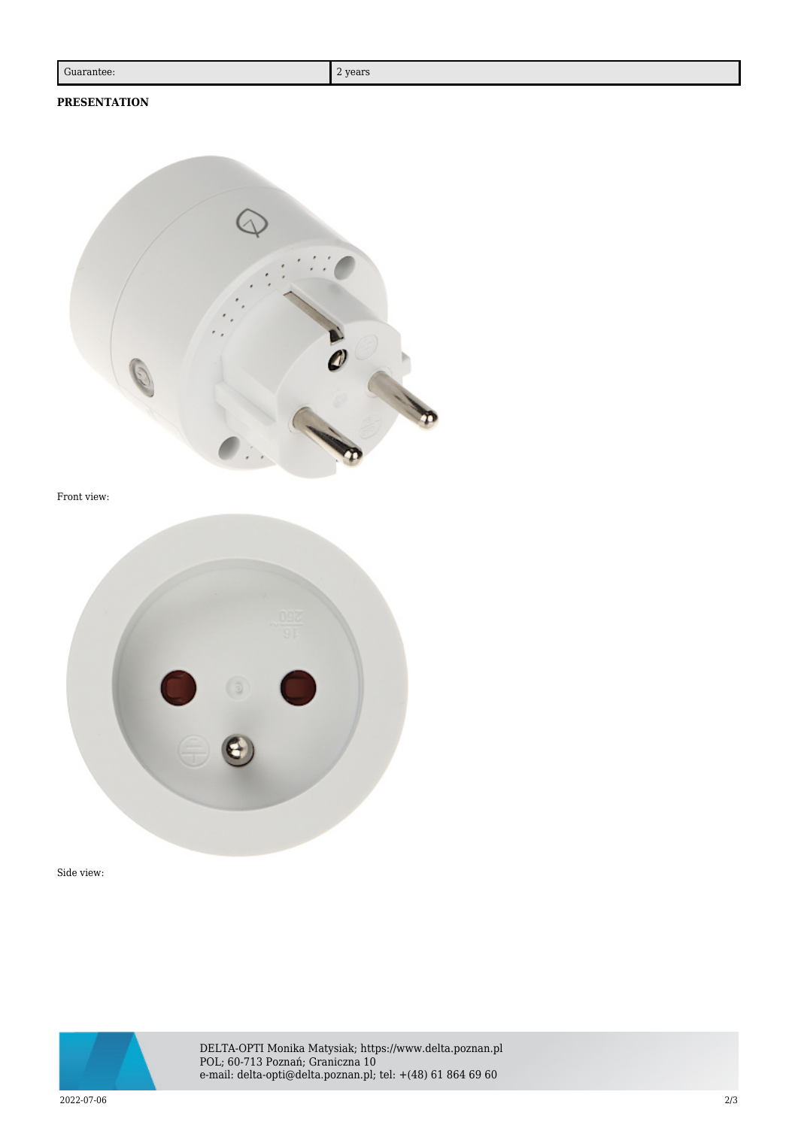## **PRESENTATION**



Front view:



Side view:



DELTA-OPTI Monika Matysiak; https://www.delta.poznan.pl POL; 60-713 Poznań; Graniczna 10 e-mail: delta-opti@delta.poznan.pl; tel: +(48) 61 864 69 60

2022-07-06 2/3